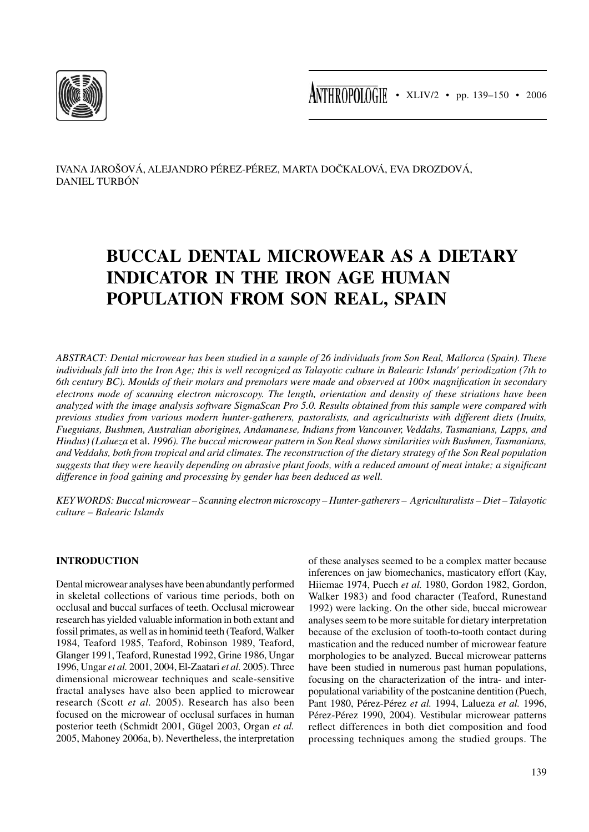

 $\overline{\text{ANTHROPOIOGIF}}$  • XLIV/2 • pp. 139–150 • 2006

IVANA JAROŠOVÁ, ALEJANDRO PÉREZ-PÉREZ, MARTA DOČKALOVÁ, EVA DROZDOVÁ, DANIEL TURBÓN

# **BUCCAL DENTAL MICROWEAR AS A DIETARY INDICATOR IN THE IRON AGE HUMAN POPULATION FROM SON REAL, SPAIN**

*ABSTRACT: Dental microwear has been studied in a sample of 26 individuals from Son Real, Mallorca (Spain). These individuals fall into the Iron Age; this is well recognized as Talayotic culture in Balearic Islands' periodization (7th to 6th century BC). Moulds of their molars and premolars were made and observed at 100× magnification in secondary electrons mode of scanning electron microscopy. The length, orientation and density of these striations have been analyzed with the image analysis software SigmaScan Pro 5.0. Results obtained from this sample were compared with previous studies from various modern hunter-gatherers, pastoralists, and agriculturists with different diets (Inuits, Fueguians, Bushmen, Australian aborigines, Andamanese, Indians from Vancouver, Veddahs, Tasmanians, Lapps, and Hindus) (Lalueza* et al. *1996). The buccal microwear pattern in Son Real shows similarities with Bushmen, Tasmanians, and Veddahs, both from tropical and arid climates. The reconstruction of the dietary strategy of the Son Real population suggests that they were heavily depending on abrasive plant foods, with a reduced amount of meat intake; a significant difference in food gaining and processing by gender has been deduced as well.*

*KEY WORDS: Buccal microwear – Scanning electron microscopy – Hunter-gatherers – Agriculturalists – Diet – Talayotic culture – Balearic Islands*

## **INTRODUCTION**

Dental microwear analyses have been abundantly performed in skeletal collections of various time periods, both on occlusal and buccal surfaces of teeth. Occlusal microwear research has yielded valuable information in both extant and fossil primates, as well as in hominid teeth (Teaford, Walker 1984, Teaford 1985, Teaford, Robinson 1989, Teaford, Glanger 1991, Teaford, Runestad 1992, Grine 1986, Ungar 1996, Ungar *et al.* 2001, 2004, El-Zaatari *et al.* 2005). Three dimensional microwear techniques and scale-sensitive fractal analyses have also been applied to microwear research (Scott *et al.* 2005). Research has also been focused on the microwear of occlusal surfaces in human posterior teeth (Schmidt 2001, Gügel 2003, Organ *et al.* 2005, Mahoney 2006a, b). Nevertheless, the interpretation

of these analyses seemed to be a complex matter because inferences on jaw biomechanics, masticatory effort (Kay, Hiiemae 1974, Puech *et al.* 1980, Gordon 1982, Gordon, Walker 1983) and food character (Teaford, Runestand 1992) were lacking. On the other side, buccal microwear analyses seem to be more suitable for dietary interpretation because of the exclusion of tooth-to-tooth contact during mastication and the reduced number of microwear feature morphologies to be analyzed. Buccal microwear patterns have been studied in numerous past human populations, focusing on the characterization of the intra- and interpopulational variability of the postcanine dentition (Puech, Pant 1980, Pérez-Pérez *et al.* 1994, Lalueza *et al.* 1996, Pérez-Pérez 1990, 2004). Vestibular microwear patterns reflect differences in both diet composition and food processing techniques among the studied groups. The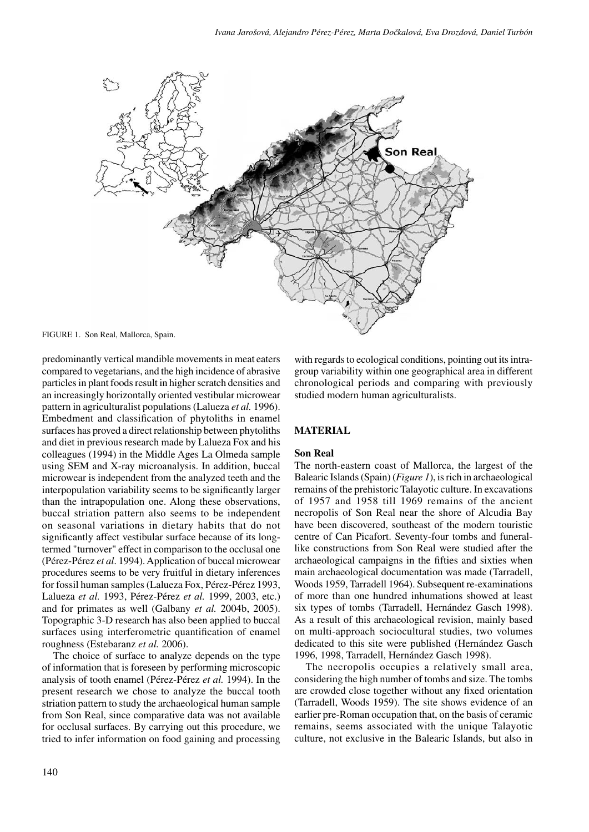

FIGURE 1. Son Real, Mallorca, Spain.

predominantly vertical mandible movements in meat eaters compared to vegetarians, and the high incidence of abrasive particles in plant foods result in higher scratch densities and an increasingly horizontally oriented vestibular microwear pattern in agriculturalist populations (Lalueza *et al.* 1996). Embedment and classification of phytoliths in enamel surfaces has proved a direct relationship between phytoliths and diet in previous research made by Lalueza Fox and his colleagues (1994) in the Middle Ages La Olmeda sample using SEM and X-ray microanalysis. In addition, buccal microwear is independent from the analyzed teeth and the interpopulation variability seems to be significantly larger than the intrapopulation one. Along these observations, buccal striation pattern also seems to be independent on seasonal variations in dietary habits that do not significantly affect vestibular surface because of its longtermed "turnover" effect in comparison to the occlusal one (Pérez-Pérez *et al*. 1994). Application of buccal microwear procedures seems to be very fruitful in dietary inferences for fossil human samples (Lalueza Fox, Pérez-Pérez 1993, Lalueza *et al.* 1993, Pérez-Pérez *et al.* 1999, 2003, etc.) and for primates as well (Galbany *et al.* 2004b, 2005). Topographic 3-D research has also been applied to buccal surfaces using interferometric quantification of enamel roughness (Estebaranz *et al.* 2006).

The choice of surface to analyze depends on the type of information that is foreseen by performing microscopic analysis of tooth enamel (Pérez-Pérez *et al.* 1994). In the present research we chose to analyze the buccal tooth striation pattern to study the archaeological human sample from Son Real, since comparative data was not available for occlusal surfaces. By carrying out this procedure, we tried to infer information on food gaining and processing with regards to ecological conditions, pointing out its intragroup variability within one geographical area in different chronological periods and comparing with previously studied modern human agriculturalists.

## **MATERIAL**

## **Son Real**

The north-eastern coast of Mallorca, the largest of the Balearic Islands (Spain) (*Figure 1*), is rich in archaeological remains of the prehistoric Talayotic culture. In excavations of 1957 and 1958 till 1969 remains of the ancient necropolis of Son Real near the shore of Alcudia Bay have been discovered, southeast of the modern touristic centre of Can Picafort. Seventy-four tombs and funerallike constructions from Son Real were studied after the archaeological campaigns in the fifties and sixties when main archaeological documentation was made (Tarradell, Woods 1959, Tarradell 1964). Subsequent re-examinations of more than one hundred inhumations showed at least six types of tombs (Tarradell, Hernández Gasch 1998). As a result of this archaeological revision, mainly based on multi-approach sociocultural studies, two volumes dedicated to this site were published (Hernández Gasch 1996, 1998, Tarradell, Hernández Gasch 1998).

The necropolis occupies a relatively small area, considering the high number of tombs and size. The tombs are crowded close together without any fixed orientation (Tarradell, Woods 1959). The site shows evidence of an earlier pre-Roman occupation that, on the basis of ceramic remains, seems associated with the unique Talayotic culture, not exclusive in the Balearic Islands, but also in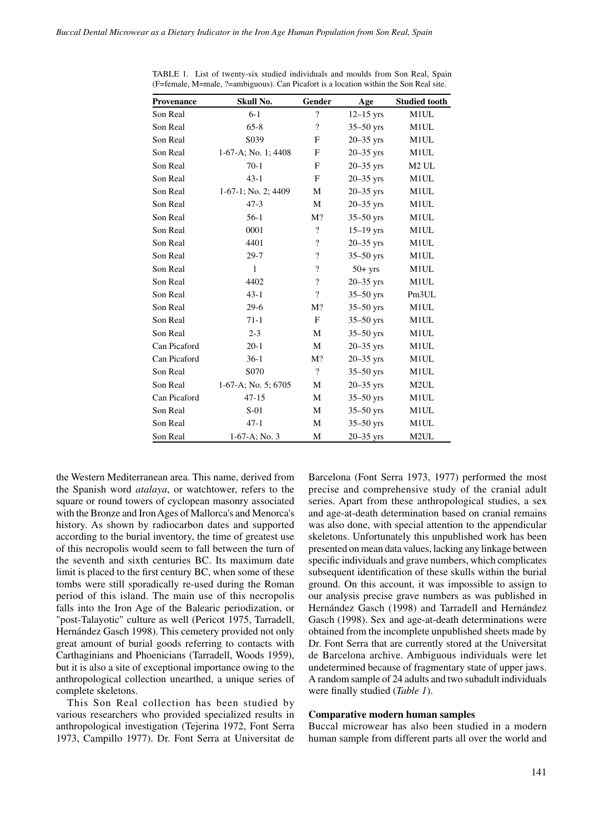| Provenance   | Skull No.              | Gender                   | Age           | <b>Studied tooth</b> |
|--------------|------------------------|--------------------------|---------------|----------------------|
| Son Real     | $6 - 1$                | $\gamma$                 | $12-15$ yrs   | M1UL                 |
| Son Real     | $65 - 8$               | $\gamma$                 | $35-50$ yrs   | M1UL                 |
| Son Real     | S039                   | F                        | $20-35$ yrs   | M1UL                 |
| Son Real     | $1-67-A$ ; No. 1; 4408 | F                        | $20 - 35$ yrs | M1UL                 |
| Son Real     | $70-1$                 | F                        | $20 - 35$ yrs | M <sub>2</sub> UL    |
| Son Real     | $43 - 1$               | F                        | $20 - 35$ yrs | M1UL                 |
| Son Real     | 1-67-1; No. 2; 4409    | М                        | $20 - 35$ yrs | M1UL                 |
| Son Real     | $47-3$                 | М                        | $20 - 35$ yrs | M1UL                 |
| Son Real     | $56-1$                 | M?                       | $35-50$ yrs   | M1UL                 |
| Son Real     | 0001                   | $\overline{\mathcal{L}}$ | $15-19$ yrs   | M1UL                 |
| Son Real     | 4401                   | $\overline{\mathcal{L}}$ | $20 - 35$ yrs | M1UL                 |
| Son Real     | $29 - 7$               | $\overline{\cdot}$       | $35-50$ yrs   | M1UL                 |
| Son Real     | $\mathbf{1}$           | $\overline{\mathcal{L}}$ | $50+$ yrs     | M1UL                 |
| Son Real     | 4402                   | $\overline{\cdot}$       | $20 - 35$ yrs | M1UL                 |
| Son Real     | $43-1$                 | $\overline{\mathcal{L}}$ | $35-50$ yrs   | Pm <sub>3</sub> UL   |
| Son Real     | $29-6$                 | M?                       | $35-50$ yrs   | M1UL                 |
| Son Real     | $71-1$                 | $\mathbf F$              | $35-50$ yrs   | M1UL                 |
| Son Real     | $2 - 3$                | М                        | $35-50$ yrs   | M1UL                 |
| Can Picaford | $20-1$                 | M                        | $20 - 35$ yrs | M1UL                 |
| Can Picaford | $36-1$                 | $M$ ?                    | $20 - 35$ yrs | M1UL                 |
| Son Real     | S <sub>070</sub>       | $\overline{\cdot}$       | $35-50$ yrs   | M1UL                 |
| Son Real     | 1-67-A; No. 5; 6705    | М                        | $20 - 35$ yrs | M <sub>2</sub> UL    |
| Can Picaford | $47 - 15$              | М                        | $35-50$ yrs   | M1UL                 |
| Son Real     | $S-01$                 | M                        | $35-50$ yrs   | M1UL                 |
| Son Real     | $47-1$                 | М                        | $35 - 50$ yrs | M1UL                 |
| Son Real     | 1-67-A; No. 3          | М                        | $20 - 35$ yrs | M <sub>2</sub> UL    |

TABLE 1. List of twenty-six studied individuals and moulds from Son Real, Spain (F=female, M=male, ?=ambiguous). Can Picafort is a location within the Son Real site.

the Western Mediterranean area. This name, derived from the Spanish word *atalaya*, or watchtower, refers to the square or round towers of cyclopean masonry associated with the Bronze and Iron Ages of Mallorca's and Menorca's history. As shown by radiocarbon dates and supported according to the burial inventory, the time of greatest use of this necropolis would seem to fall between the turn of the seventh and sixth centuries BC. Its maximum date limit is placed to the first century BC, when some of these tombs were still sporadically re-used during the Roman period of this island. The main use of this necropolis falls into the Iron Age of the Balearic periodization, or "post-Talayotic" culture as well (Pericot 1975, Tarradell, Hernández Gasch 1998). This cemetery provided not only great amount of burial goods referring to contacts with Carthaginians and Phoenicians (Tarradell, Woods 1959), but it is also a site of exceptional importance owing to the anthropological collection unearthed, a unique series of complete skeletons.

This Son Real collection has been studied by various researchers who provided specialized results in anthropological investigation (Tejerina 1972, Font Serra 1973, Campillo 1977). Dr. Font Serra at Universitat de Barcelona (Font Serra 1973, 1977) performed the most precise and comprehensive study of the cranial adult series. Apart from these anthropological studies, a sex and age-at-death determination based on cranial remains was also done, with special attention to the appendicular skeletons. Unfortunately this unpublished work has been presented on mean data values, lacking any linkage between specific individuals and grave numbers, which complicates subsequent identification of these skulls within the burial ground. On this account, it was impossible to assign to our analysis precise grave numbers as was published in Hernández Gasch (1998) and Tarradell and Hernández Gasch (1998). Sex and age-at-death determinations were obtained from the incomplete unpublished sheets made by Dr. Font Serra that are currently stored at the Universitat de Barcelona archive. Ambiguous individuals were let undetermined because of fragmentary state of upper jaws. A random sample of 24 adults and two subadult individuals were finally studied (*Table 1*).

#### **Comparative modern human samples**

Buccal microwear has also been studied in a modern human sample from different parts all over the world and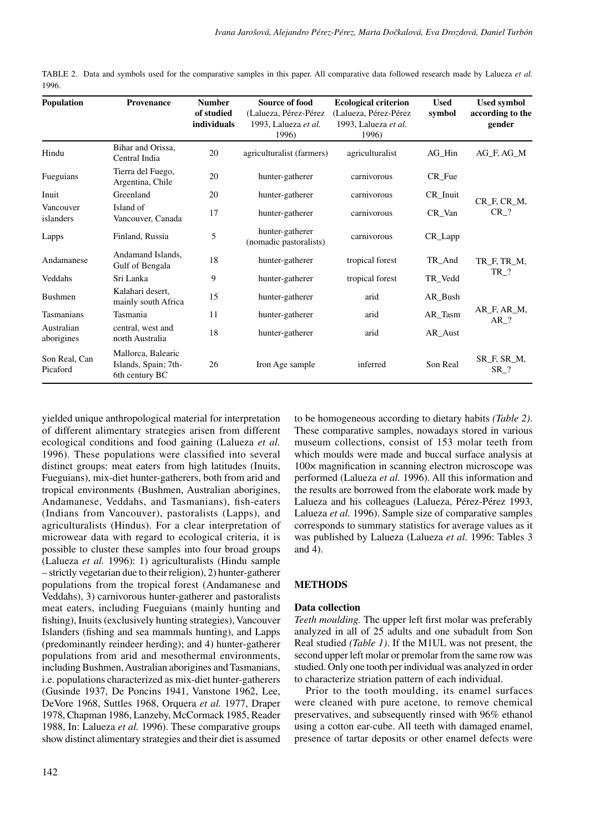TABLE 2. Data and symbols used for the comparative samples in this paper. All comparative data followed research made by Lalueza *et al.*  1996.

| <b>Population</b>         | <b>Provenance</b>                                            | <b>Number</b><br>of studied<br>individuals | <b>Source of food</b><br>(Lalueza, Pérez-Pérez<br>1993, Lalueza et al.<br>1996) | <b>Ecological criterion</b><br>(Lalueza, Pérez-Pérez<br>1993, Lalueza et al.<br>1996) | <b>Used</b><br>symbol | <b>Used symbol</b><br>according to the<br>gender |
|---------------------------|--------------------------------------------------------------|--------------------------------------------|---------------------------------------------------------------------------------|---------------------------------------------------------------------------------------|-----------------------|--------------------------------------------------|
| Hindu                     | Bihar and Orissa,<br>Central India                           | 20                                         | agriculturalist (farmers)                                                       | agriculturalist                                                                       | AG_Hin                | AG F, AG M                                       |
| Fueguians                 | Tierra del Fuego,<br>Argentina, Chile                        | 20                                         | hunter-gatherer                                                                 | carnivorous                                                                           | CR_Fue                |                                                  |
| Inuit                     | Greenland                                                    | 20                                         | hunter-gatherer                                                                 | carnivorous                                                                           | CR_Inuit              | CR_F, CR_M,                                      |
| Vancouver<br>islanders    | Island of<br>Vancouver, Canada                               | 17                                         | hunter-gatherer                                                                 | carnivorous                                                                           | CR_Van                | $CR$ ?                                           |
| Lapps                     | Finland, Russia                                              | 5                                          | hunter-gatherer<br>(nomadic pastoralists)                                       | carnivorous                                                                           | CR_Lapp               |                                                  |
| Andamanese                | Andamand Islands.<br>Gulf of Bengala                         | 18                                         | hunter-gatherer                                                                 | tropical forest                                                                       | TR_And                | TR F, TR M,                                      |
| Veddahs                   | Sri Lanka                                                    | 9                                          | hunter-gatherer                                                                 | tropical forest                                                                       | TR_Vedd               | $TR$ <sup>?</sup>                                |
| <b>Bushmen</b>            | Kalahari desert.<br>mainly south Africa                      | 15                                         | hunter-gatherer                                                                 | arid                                                                                  | AR_Bush               |                                                  |
| <b>Tasmanians</b>         | Tasmania                                                     | 11                                         | hunter-gatherer                                                                 | arid                                                                                  | AR_Tasm               | AR F, AR M,<br>AR ?                              |
| Australian<br>aborigines  | central, west and<br>north Australia                         | 18                                         | hunter-gatherer                                                                 | arid                                                                                  | AR Aust               |                                                  |
| Son Real, Can<br>Picaford | Mallorca, Balearic<br>Islands, Spain; 7th-<br>6th century BC | 26                                         | Iron Age sample                                                                 | inferred                                                                              | Son Real              | SR_F, SR_M,<br>$SR$ ?                            |

yielded unique anthropological material for interpretation of different alimentary strategies arisen from different ecological conditions and food gaining (Lalueza *et al.* 1996). These populations were classified into several distinct groups: meat eaters from high latitudes (Inuits, Fueguians), mix-diet hunter-gatherers, both from arid and tropical environments (Bushmen, Australian aborigines, Andamanese, Veddahs, and Tasmanians), fish-eaters (Indians from Vancouver), pastoralists (Lapps), and agriculturalists (Hindus). For a clear interpretation of microwear data with regard to ecological criteria, it is possible to cluster these samples into four broad groups (Lalueza *et al.* 1996): 1) agriculturalists (Hindu sample – strictly vegetarian due to their religion), 2) hunter-gatherer populations from the tropical forest (Andamanese and Veddahs), 3) carnivorous hunter-gatherer and pastoralists meat eaters, including Fueguians (mainly hunting and fishing), Inuits (exclusively hunting strategies), Vancouver Islanders (fishing and sea mammals hunting), and Lapps (predominantly reindeer herding); and 4) hunter-gatherer populations from arid and mesothermal environments, including Bushmen, Australian aborigines and Tasmanians, i.e. populations characterized as mix-diet hunter-gatherers (Gusinde 1937, De Poncins 1941, Vanstone 1962, Lee, DeVore 1968, Suttles 1968, Orquera *et al.* 1977, Draper 1978, Chapman 1986, Lanzeby, McCormack 1985, Reader 1988, In: Lalueza *et al.* 1996). These comparative groups show distinct alimentary strategies and their diet is assumed

to be homogeneous according to dietary habits *(Table 2)*. These comparative samples, nowadays stored in various museum collections, consist of 153 molar teeth from which moulds were made and buccal surface analysis at 100× magnification in scanning electron microscope was performed (Lalueza *et al.* 1996). All this information and the results are borrowed from the elaborate work made by Lalueza and his colleagues (Lalueza, Pérez-Pérez 1993, Lalueza *et al.* 1996). Sample size of comparative samples corresponds to summary statistics for average values as it was published by Lalueza (Lalueza *et al.* 1996: Tables 3 and 4).

### **METHODS**

### **Data collection**

*Teeth moulding.* The upper left first molar was preferably analyzed in all of 25 adults and one subadult from Son Real studied *(Table 1)*. If the M1UL was not present, the second upper left molar or premolar from the same row was studied. Only one tooth per individual was analyzed in order to characterize striation pattern of each individual.

Prior to the tooth moulding, its enamel surfaces were cleaned with pure acetone, to remove chemical preservatives, and subsequently rinsed with 96% ethanol using a cotton ear-cube. All teeth with damaged enamel, presence of tartar deposits or other enamel defects were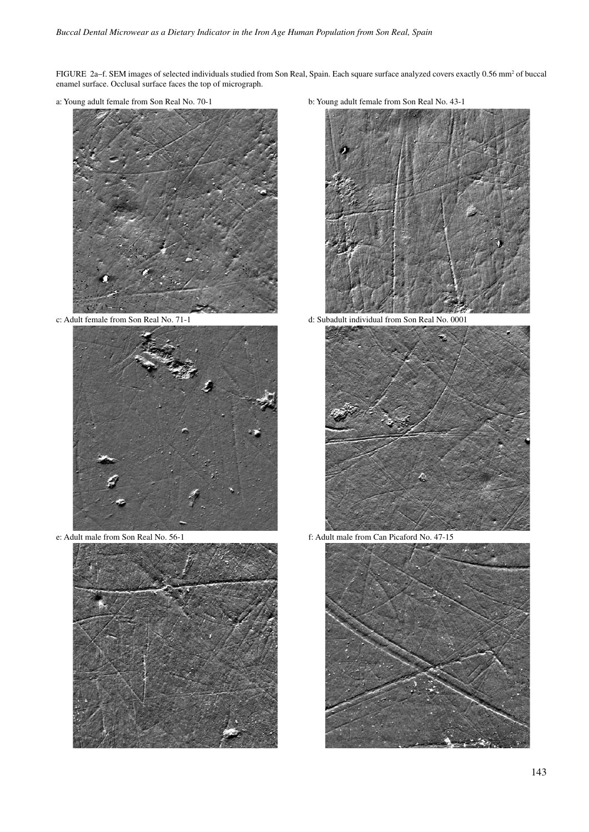FIGURE 2a–f. SEM images of selected individuals studied from Son Real, Spain. Each square surface analyzed covers exactly 0.56 mm<sup>2</sup> of buccal enamel surface. Occlusal surface faces the top of micrograph.







a: Young adult female from Son Real No. 70-1 b: Young adult female from Son Real No. 43-1



c: Adult female from Son Real No. 71-1 d: Subadult individual from Son Real No. 0001



e: Adult male from Son Real No. 56-1 f: Adult male from Can Picaford No. 47-15

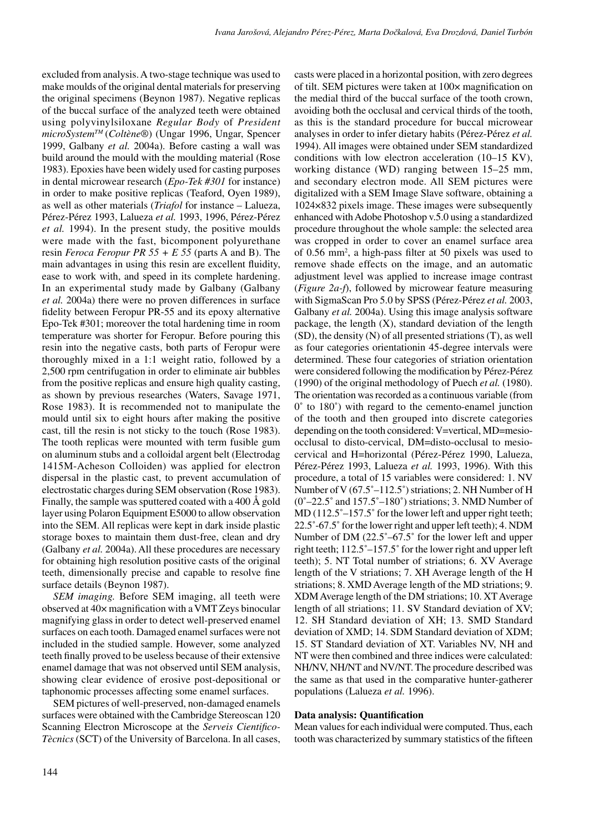excluded from analysis. A two-stage technique was used to make moulds of the original dental materials for preserving the original specimens (Beynon 1987). Negative replicas of the buccal surface of the analyzed teeth were obtained using polyvinylsiloxane *Regular Body* of *President microSystemTM* (*Coltène*®) (Ungar 1996, Ungar, Spencer 1999, Galbany *et al.* 2004a). Before casting a wall was build around the mould with the moulding material (Rose 1983). Epoxies have been widely used for casting purposes in dental microwear research (*Epo-Tek #301* for instance) in order to make positive replicas (Teaford, Oyen 1989), as well as other materials (*Triafol* for instance – Lalueza, Pérez-Pérez 1993, Lalueza *et al.* 1993, 1996, Pérez-Pérez *et al.* 1994). In the present study, the positive moulds were made with the fast, bicomponent polyurethane resin *Feroca Feropur PR 55 + E 55* (parts A and B). The main advantages in using this resin are excellent fluidity, ease to work with, and speed in its complete hardening. In an experimental study made by Galbany (Galbany *et al.* 2004a) there were no proven differences in surface fidelity between Feropur PR-55 and its epoxy alternative Epo-Tek #301; moreover the total hardening time in room temperature was shorter for Feropur. Before pouring this resin into the negative casts, both parts of Feropur were thoroughly mixed in a 1:1 weight ratio, followed by a 2,500 rpm centrifugation in order to eliminate air bubbles from the positive replicas and ensure high quality casting, as shown by previous researches (Waters, Savage 1971, Rose 1983). It is recommended not to manipulate the mould until six to eight hours after making the positive cast, till the resin is not sticky to the touch (Rose 1983). The tooth replicas were mounted with term fusible gum on aluminum stubs and a colloidal argent belt (Electrodag 1415M-Acheson Colloiden) was applied for electron dispersal in the plastic cast, to prevent accumulation of electrostatic charges during SEM observation (Rose 1983). Finally, the sample was sputtered coated with a 400 Å gold layer using Polaron Equipment E5000 to allow observation into the SEM. All replicas were kept in dark inside plastic storage boxes to maintain them dust-free, clean and dry (Galbany *et al.* 2004a). All these procedures are necessary for obtaining high resolution positive casts of the original teeth, dimensionally precise and capable to resolve fine surface details (Beynon 1987).

*SEM imaging.* Before SEM imaging, all teeth were observed at 40× magnification with a VMT Zeys binocular magnifying glass in order to detect well-preserved enamel surfaces on each tooth. Damaged enamel surfaces were not included in the studied sample. However, some analyzed teeth finally proved to be useless because of their extensive enamel damage that was not observed until SEM analysis, showing clear evidence of erosive post-depositional or taphonomic processes affecting some enamel surfaces.

SEM pictures of well-preserved, non-damaged enamels surfaces were obtained with the Cambridge Stereoscan 120 Scanning Electron Microscope at the *Serveis Cientifico-Tècnics* (SCT) of the University of Barcelona. In all cases,

casts were placed in a horizontal position, with zero degrees of tilt. SEM pictures were taken at 100× magnification on the medial third of the buccal surface of the tooth crown, avoiding both the occlusal and cervical thirds of the tooth, as this is the standard procedure for buccal microwear analyses in order to infer dietary habits (Pérez-Pérez *et al.* 1994). All images were obtained under SEM standardized conditions with low electron acceleration (10–15 KV), working distance (WD) ranging between 15–25 mm, and secondary electron mode. All SEM pictures were digitalized with a SEM Image Slave software, obtaining a 1024×832 pixels image. These images were subsequently enhanced with Adobe Photoshop v.5.0 using a standardized procedure throughout the whole sample: the selected area was cropped in order to cover an enamel surface area of 0.56 mm2 , a high-pass filter at 50 pixels was used to remove shade effects on the image, and an automatic adjustment level was applied to increase image contrast (*Figure 2a-f*), followed by microwear feature measuring with SigmaScan Pro 5.0 by SPSS (Pérez-Pérez *et al.* 2003, Galbany *et al.* 2004a). Using this image analysis software package, the length (X), standard deviation of the length (SD), the density (N) of all presented striations (T), as well as four categories orientationin 45-degree intervals were determined. These four categories of striation orientation were considered following the modification by Pérez-Pérez (1990) of the original methodology of Puech *et al.* (1980). The orientation was recorded as a continuous variable (from 0˚ to 180˚) with regard to the cemento-enamel junction of the tooth and then grouped into discrete categories depending on the tooth considered: V=vertical, MD=mesioocclusal to disto-cervical, DM=disto-occlusal to mesiocervical and H=horizontal (Pérez-Pérez 1990, Lalueza, Pérez-Pérez 1993, Lalueza *et al.* 1993, 1996). With this procedure, a total of 15 variables were considered: 1. NV Number of V (67.5˚–112.5˚) striations; 2. NH Number of H  $(0°-22.5°$  and  $157.5°-180°)$  striations; 3. NMD Number of MD (112.5°–157.5° for the lower left and upper right teeth; 22.5˚-67.5˚ for the lower right and upper left teeth); 4. NDM Number of DM (22.5˚–67.5˚ for the lower left and upper right teeth; 112.5˚–157.5˚ for the lower right and upper left teeth); 5. NT Total number of striations; 6. XV Average length of the V striations; 7. XH Average length of the H striations; 8. XMD Average length of the MD striations; 9. XDM Average length of the DM striations; 10. XT Average length of all striations; 11. SV Standard deviation of XV; 12. SH Standard deviation of XH; 13. SMD Standard deviation of XMD; 14. SDM Standard deviation of XDM; 15. ST Standard deviation of XT. Variables NV, NH and NT were then combined and three indices were calculated: NH/NV, NH/NT and NV/NT. The procedure described was the same as that used in the comparative hunter-gatherer populations (Lalueza *et al.* 1996).

### **Data analysis: Quantification**

Mean values for each individual were computed. Thus, each tooth was characterized by summary statistics of the fifteen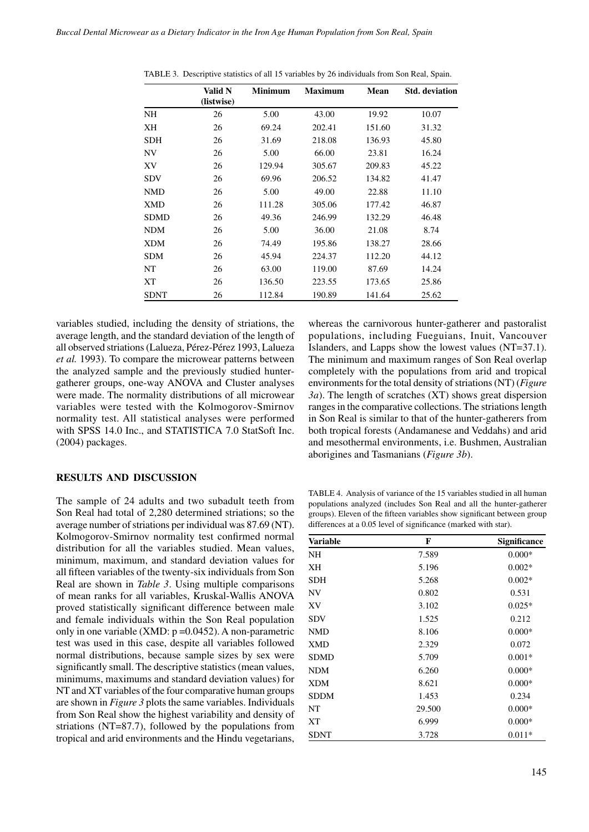|             | Valid N    | <b>Minimum</b> | <b>Maximum</b> | Mean   | <b>Std.</b> deviation |
|-------------|------------|----------------|----------------|--------|-----------------------|
|             | (listwise) |                |                |        |                       |
| NH          | 26         | 5.00           | 43.00          | 19.92  | 10.07                 |
| XН          | 26         | 69.24          | 202.41         | 151.60 | 31.32                 |
| <b>SDH</b>  | 26         | 31.69          | 218.08         | 136.93 | 45.80                 |
| NV          | 26         | 5.00           | 66.00          | 23.81  | 16.24                 |
| XV          | 26         | 129.94         | 305.67         | 209.83 | 45.22                 |
| <b>SDV</b>  | 26         | 69.96          | 206.52         | 134.82 | 41.47                 |
| <b>NMD</b>  | 26         | 5.00           | 49.00          | 22.88  | 11.10                 |
| XMD         | 26         | 111.28         | 305.06         | 177.42 | 46.87                 |
| <b>SDMD</b> | 26         | 49.36          | 246.99         | 132.29 | 46.48                 |
| <b>NDM</b>  | 26         | 5.00           | 36.00          | 21.08  | 8.74                  |
| <b>XDM</b>  | 26         | 74.49          | 195.86         | 138.27 | 28.66                 |
| <b>SDM</b>  | 26         | 45.94          | 224.37         | 112.20 | 44.12                 |
| NT          | 26         | 63.00          | 119.00         | 87.69  | 14.24                 |
| XТ          | 26         | 136.50         | 223.55         | 173.65 | 25.86                 |
| <b>SDNT</b> | 26         | 112.84         | 190.89         | 141.64 | 25.62                 |

TABLE 3. Descriptive statistics of all 15 variables by 26 individuals from Son Real, Spain.

variables studied, including the density of striations, the average length, and the standard deviation of the length of all observed striations (Lalueza, Pérez-Pérez 1993, Lalueza *et al.* 1993). To compare the microwear patterns between the analyzed sample and the previously studied huntergatherer groups, one-way ANOVA and Cluster analyses were made. The normality distributions of all microwear variables were tested with the Kolmogorov-Smirnov normality test. All statistical analyses were performed with SPSS 14.0 Inc., and STATISTICA 7.0 StatSoft Inc. (2004) packages.

## **RESULTS AND DISCUSSION**

The sample of 24 adults and two subadult teeth from Son Real had total of 2,280 determined striations; so the average number of striations per individual was 87.69 (NT). Kolmogorov-Smirnov normality test confirmed normal distribution for all the variables studied. Mean values, minimum, maximum, and standard deviation values for all fifteen variables of the twenty-six individuals from Son Real are shown in *Table 3*. Using multiple comparisons of mean ranks for all variables, Kruskal-Wallis ANOVA proved statistically significant difference between male and female individuals within the Son Real population only in one variable  $(XMD: p = 0.0452)$ . A non-parametric test was used in this case, despite all variables followed normal distributions, because sample sizes by sex were significantly small. The descriptive statistics (mean values, minimums, maximums and standard deviation values) for NT and XT variables of the four comparative human groups are shown in *Figure 3* plots the same variables. Individuals from Son Real show the highest variability and density of striations (NT=87.7), followed by the populations from tropical and arid environments and the Hindu vegetarians, whereas the carnivorous hunter-gatherer and pastoralist populations, including Fueguians, Inuit, Vancouver Islanders, and Lapps show the lowest values (NT=37.1). The minimum and maximum ranges of Son Real overlap completely with the populations from arid and tropical environments for the total density of striations (NT) (*Figure 3a*). The length of scratches (XT) shows great dispersion ranges in the comparative collections. The striations length in Son Real is similar to that of the hunter-gatherers from both tropical forests (Andamanese and Veddahs) and arid and mesothermal environments, i.e. Bushmen, Australian aborigines and Tasmanians (*Figure 3b*).

TABLE 4. Analysis of variance of the 15 variables studied in all human populations analyzed (includes Son Real and all the hunter-gatherer groups). Eleven of the fifteen variables show significant between group differences at a 0.05 level of significance (marked with star).

| <b>Variable</b> | F      | <b>Significance</b> |
|-----------------|--------|---------------------|
| <b>NH</b>       | 7.589  | $0.000*$            |
| XН              | 5.196  | $0.002*$            |
| <b>SDH</b>      | 5.268  | $0.002*$            |
| NV              | 0.802  | 0.531               |
| XV              | 3.102  | $0.025*$            |
| <b>SDV</b>      | 1.525  | 0.212               |
| <b>NMD</b>      | 8.106  | $0.000*$            |
| <b>XMD</b>      | 2.329  | 0.072               |
| <b>SDMD</b>     | 5.709  | $0.001*$            |
| <b>NDM</b>      | 6.260  | $0.000*$            |
| <b>XDM</b>      | 8.621  | $0.000*$            |
| <b>SDDM</b>     | 1.453  | 0.234               |
| NT              | 29.500 | $0.000*$            |
| XТ              | 6.999  | $0.000*$            |
| <b>SDNT</b>     | 3.728  | $0.011*$            |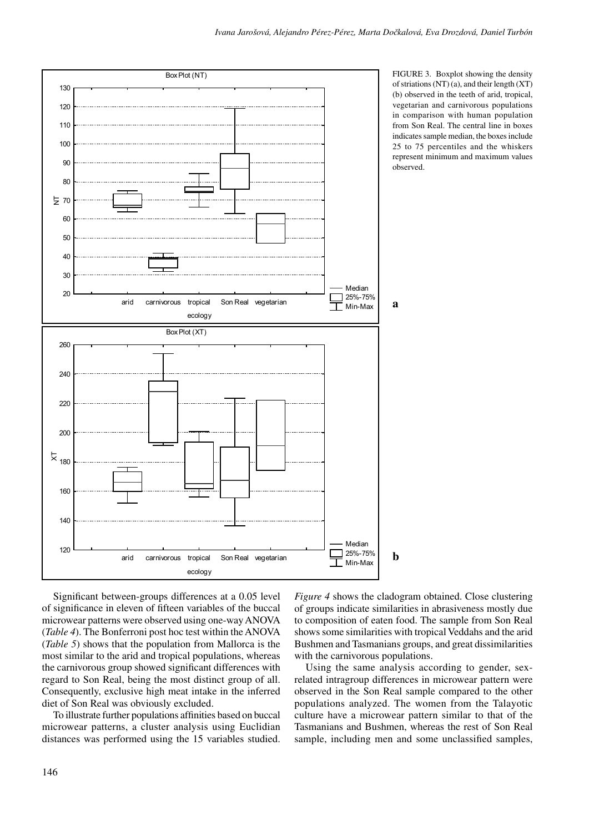

FIGURE 3. Boxplot showing the density of striations  $(NT)$  (a), and their length  $(XT)$ (b) observed in the teeth of arid, tropical, vegetarian and carnivorous populations in comparison with human population from Son Real. The central line in boxes indicates sample median, the boxes include 25 to 75 percentiles and the whiskers represent minimum and maximum values observed.

Significant between-groups differences at a 0.05 level of significance in eleven of fifteen variables of the buccal microwear patterns were observed using one-way ANOVA (*Table 4*). The Bonferroni post hoc test within the ANOVA (*Table 5*) shows that the population from Mallorca is the most similar to the arid and tropical populations, whereas the carnivorous group showed significant differences with regard to Son Real, being the most distinct group of all. Consequently, exclusive high meat intake in the inferred diet of Son Real was obviously excluded.

To illustrate further populations affinities based on buccal microwear patterns, a cluster analysis using Euclidian distances was performed using the 15 variables studied. *Figure 4* shows the cladogram obtained. Close clustering of groups indicate similarities in abrasiveness mostly due to composition of eaten food. The sample from Son Real shows some similarities with tropical Veddahs and the arid Bushmen and Tasmanians groups, and great dissimilarities with the carnivorous populations.

Using the same analysis according to gender, sexrelated intragroup differences in microwear pattern were observed in the Son Real sample compared to the other populations analyzed. The women from the Talayotic culture have a microwear pattern similar to that of the Tasmanians and Bushmen, whereas the rest of Son Real sample, including men and some unclassified samples,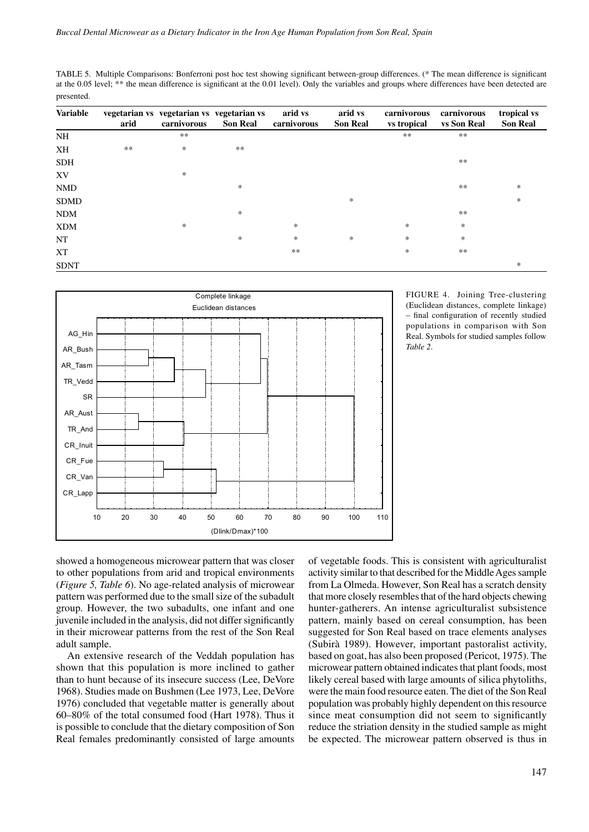TABLE 5. Multiple Comparisons: Bonferroni post hoc test showing significant between-group differences. (\* The mean difference is significant at the 0.05 level; \*\* the mean difference is significant at the 0.01 level). Only the variables and groups where differences have been detected are presented.

| <b>Variable</b> | arid | vegetarian vs vegetarian vs vegetarian vs<br>carnivorous | <b>Son Real</b> | arid vs<br>carnivorous | arid vs<br><b>Son Real</b> | carnivorous<br>vs tropical | carnivorous<br>vs Son Real | tropical vs<br><b>Son Real</b> |
|-----------------|------|----------------------------------------------------------|-----------------|------------------------|----------------------------|----------------------------|----------------------------|--------------------------------|
| <b>NH</b>       |      | $***$                                                    |                 |                        |                            | $***$                      | **                         |                                |
| XH              | $**$ | $\ast$                                                   | $**$            |                        |                            |                            |                            |                                |
| <b>SDH</b>      |      |                                                          |                 |                        |                            |                            | $***$                      |                                |
| XV              |      | $\ast$                                                   |                 |                        |                            |                            |                            |                                |
| <b>NMD</b>      |      |                                                          | $\ast$          |                        |                            |                            | $**$                       | $\ast$                         |
| <b>SDMD</b>     |      |                                                          |                 |                        | *                          |                            |                            | $\ast$                         |
| <b>NDM</b>      |      |                                                          | $\ast$          |                        |                            |                            | **                         |                                |
| <b>XDM</b>      |      | $\ast$                                                   |                 | $\ast$                 |                            | *                          | $\ast$                     |                                |
| NT              |      |                                                          | *               | *                      | *                          | $\ast$                     | *                          |                                |
| XT              |      |                                                          |                 | $**$                   |                            | *                          | $**$                       |                                |
| <b>SDNT</b>     |      |                                                          |                 |                        |                            |                            |                            | *                              |



FIGURE 4. Joining Tree-clustering (Euclidean distances, complete linkage) – final configuration of recently studied populations in comparison with Son Real. Symbols for studied samples follow *Table 2*.

showed a homogeneous microwear pattern that was closer to other populations from arid and tropical environments (*Figure 5, Table 6*). No age-related analysis of microwear pattern was performed due to the small size of the subadult group. However, the two subadults, one infant and one juvenile included in the analysis, did not differ significantly in their microwear patterns from the rest of the Son Real adult sample.

An extensive research of the Veddah population has shown that this population is more inclined to gather than to hunt because of its insecure success (Lee, DeVore 1968). Studies made on Bushmen (Lee 1973, Lee, DeVore 1976) concluded that vegetable matter is generally about 60–80% of the total consumed food (Hart 1978). Thus it is possible to conclude that the dietary composition of Son Real females predominantly consisted of large amounts of vegetable foods. This is consistent with agriculturalist activity similar to that described for the Middle Ages sample from La Olmeda. However, Son Real has a scratch density that more closely resembles that of the hard objects chewing hunter-gatherers. An intense agriculturalist subsistence pattern, mainly based on cereal consumption, has been suggested for Son Real based on trace elements analyses (Subirà 1989). However, important pastoralist activity, based on goat, has also been proposed (Pericot, 1975). The microwear pattern obtained indicates that plant foods, most likely cereal based with large amounts of silica phytoliths, were the main food resource eaten. The diet of the Son Real population was probably highly dependent on this resource since meat consumption did not seem to significantly reduce the striation density in the studied sample as might be expected. The microwear pattern observed is thus in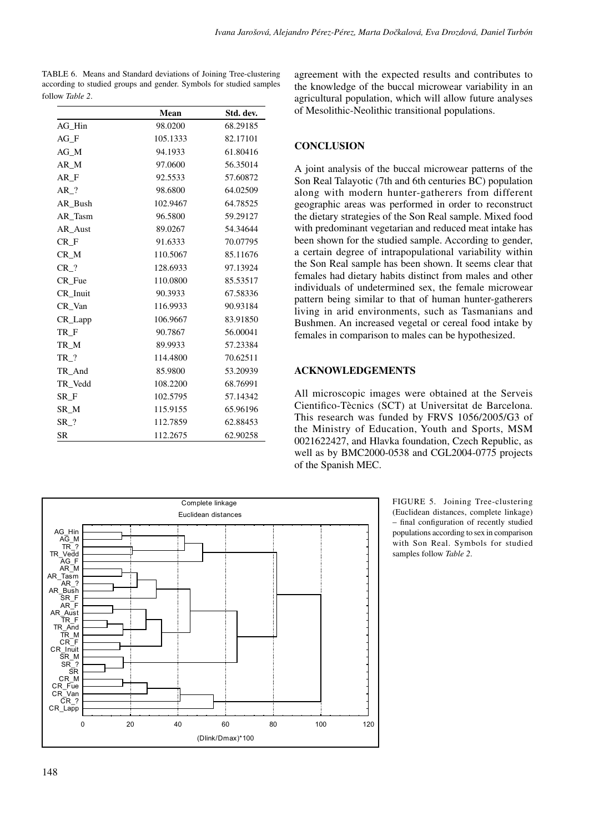TABLE 6. Means and Standard deviations of Joining Tree-clustering according to studied groups and gender. Symbols for studied samples follow *Table 2*.

|                     | Mean     | Std. dev. |
|---------------------|----------|-----------|
| AG Hin              | 98.0200  | 68.29185  |
| AG F                | 105.1333 | 82.17101  |
| AG M                | 94.1933  | 61.80416  |
| AR M                | 97.0600  | 56.35014  |
| AR F                | 92.5533  | 57.60872  |
| $AR$ ?              | 98.6800  | 64.02509  |
| AR Bush             | 102.9467 | 64.78525  |
| AR Tasm             | 96.5800  | 59.29127  |
| AR_Aust             | 89.0267  | 54.34644  |
| $CR_F$              | 91.6333  | 70.07795  |
| CR_M                | 110.5067 | 85.11676  |
| $CR_?$              | 128.6933 | 97.13924  |
| CR Fue              | 110.0800 | 85.53517  |
| CR_Inuit            | 90.3933  | 67.58336  |
| CR Van              | 116.9933 | 90.93184  |
| CR_Lapp             | 106.9667 | 83.91850  |
| TR_F                | 90.7867  | 56.00041  |
| TR_M                | 89.9933  | 57.23384  |
| $TR_{?}$            | 114.4800 | 70.62511  |
| TR_And              | 85.9800  | 53.20939  |
| TR_Vedd             | 108.2200 | 68.76991  |
| SR F                | 102.5795 | 57.14342  |
| SR M                | 115.9155 | 65.96196  |
| $SR$ <sub>2</sub> ? | 112.7859 | 62.88453  |
| SR                  | 112.2675 | 62.90258  |

agreement with the expected results and contributes to the knowledge of the buccal microwear variability in an agricultural population, which will allow future analyses of Mesolithic-Neolithic transitional populations.

## **CONCLUSION**

A joint analysis of the buccal microwear patterns of the Son Real Talayotic (7th and 6th centuries BC) population along with modern hunter-gatherers from different geographic areas was performed in order to reconstruct the dietary strategies of the Son Real sample. Mixed food with predominant vegetarian and reduced meat intake has been shown for the studied sample. According to gender, a certain degree of intrapopulational variability within the Son Real sample has been shown. It seems clear that females had dietary habits distinct from males and other individuals of undetermined sex, the female microwear pattern being similar to that of human hunter-gatherers living in arid environments, such as Tasmanians and Bushmen. An increased vegetal or cereal food intake by females in comparison to males can be hypothesized.

## **ACKNOWLEDGEMENTS**

All microscopic images were obtained at the Serveis Cientifico-Tècnics (SCT) at Universitat de Barcelona. This research was funded by FRVS 1056/2005/G3 of the Ministry of Education, Youth and Sports, MSM 0021622427, and Hlavka foundation, Czech Republic, as well as by BMC2000-0538 and CGL2004-0775 projects of the Spanish MEC.



FIGURE 5. Joining Tree-clustering (Euclidean distances, complete linkage) – final configuration of recently studied populations according to sex in comparison with Son Real. Symbols for studied samples follow *Table 2*.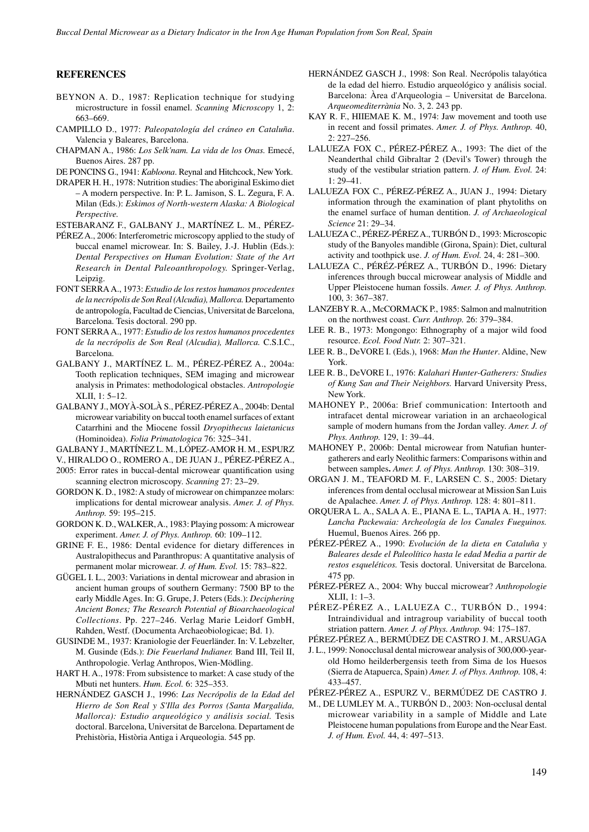### **REFERENCES**

- BEYNON A. D., 1987: Replication technique for studying microstructure in fossil enamel. *Scanning Microscopy* 1, 2: 663–669.
- CAMPILLO D., 1977: *Paleopatología del cráneo en Cataluña*. Valencia y Baleares, Barcelona.
- CHAPMAN A., 1986: *Los Selk'nam. La vida de los Onas.* Emecé, Buenos Aires. 287 pp.
- DE PONCINS G., 1941: *Kabloona*. Reynal and Hitchcock, New York.
- DRAPER H. H., 1978: Nutrition studies: The aboriginal Eskimo diet – A modern perspective. In: P. L. Jamison, S. L. Zegura, F. A. Milan (Eds.): *Eskimos of North-western Alaska: A Biological Perspective.*

ESTEBARANZ F., GALBANY J., MARTÍNEZ L. M., PÉREZ-

- PÉREZ A., 2006: Interferometric microscopy applied to the study of buccal enamel microwear. In: S. Bailey, J.-J. Hublin (Eds.): *Dental Perspectives on Human Evolution: State of the Art Research in Dental Paleoanthropology.* Springer-Verlag, Leipzig.
- FONT SERRA A., 1973: *Estudio de los restos humanos procedentes de la necrópolis de Son Real (Alcudia), Mallorca.* Departamento de antropología, Facultad de Ciencias, Universitat de Barcelona, Barcelona. Tesis doctoral. 290 pp.
- FONT SERRA A., 1977: *Estudio de los restos humanos procedentes de la necrópolis de Son Real (Alcudia), Mallorca.* C.S.I.C., Barcelona.
- GALBANY J., MARTÍNEZ L. M., PÉREZ-PÉREZ A., 2004a: Tooth replication techniques, SEM imaging and microwear analysis in Primates: methodological obstacles. *Antropologie*  XLII, 1: 5–12.
- GALBANY J., MOYÀ-SOLÀ S., PÉREZ-PÉREZ A., 2004b: Dental microwear variability on buccal tooth enamel surfaces of extant Catarrhini and the Miocene fossil *Dryopithecus laietanicus* (Hominoidea). *Folia Primatologica* 76: 325–341.
- GALBANY J., MARTÍNEZ L. M., LÓPEZ-AMOR H. M., ESPURZ
- V., HIRALDO O., ROMERO A., DE JUAN J., PÉREZ-PÉREZ A.,
- 2005: Error rates in buccal-dental microwear quantification using scanning electron microscopy. *Scanning* 27: 23–29.
- GORDON K. D., 1982: A study of microwear on chimpanzee molars: implications for dental microwear analysis. *Amer. J. of Phys. Anthrop.* 59: 195–215.
- GORDON K. D., WALKER, A., 1983: Playing possom: A microwear experiment. *Amer. J. of Phys. Anthrop.* 60: 109–112.
- GRINE F. E., 1986: Dental evidence for dietary differences in Australopithecus and Paranthropus: A quantitative analysis of permanent molar microwear. *J. of Hum. Evol.* 15: 783–822.
- GÜGEL I. L., 2003: Variations in dental microwear and abrasion in ancient human groups of southern Germany: 7500 BP to the early Middle Ages. In: G. Grupe, J. Peters (Eds.): *Deciphering Ancient Bones; The Research Potential of Bioarchaeological Collections*. Pp. 227–246. Verlag Marie Leidorf GmbH, Rahden, Westf. (Documenta Archaeobiologicae; Bd. 1).
- GUSINDE M., 1937: Kraniologie der Feuerländer. In: V. Lebzelter, M. Gusinde (Eds.): *Die Feuerland Indianer.* Band III, Teil II, Anthropologie. Verlag Anthropos, Wien-Mödling.
- HART H. A., 1978: From subsistence to market: A case study of the Mbuti net hunters. *Hum. Ecol.* 6: 325–353.
- HERNÁNDEZ GASCH J., 1996: *Las Necrópolis de la Edad del Hierro de Son Real y S'Illa des Porros (Santa Margalida, Mallorca): Estudio arqueológico y análisis social.* Tesis doctoral. Barcelona, Universitat de Barcelona. Departament de Prehistòria, Història Antiga i Arqueologia. 545 pp.
- HERNÁNDEZ GASCH J., 1998: Son Real. Necrópolis talayótica de la edad del hierro. Estudio arqueológico y análisis social. Barcelona: Àrea d'Arqueologia – Universitat de Barcelona. *Arqueomediterrània* No. 3, 2. 243 pp.
- KAY R. F., HIIEMAE K. M., 1974: Jaw movement and tooth use in recent and fossil primates. *Amer. J. of Phys. Anthrop.* 40, 2: 227–256.
- LALUEZA FOX C., PÉREZ-PÉREZ A., 1993: The diet of the Neanderthal child Gibraltar 2 (Devil's Tower) through the study of the vestibular striation pattern. *J. of Hum. Evol.* 24:  $1: 29 - 41$
- LALUEZA FOX C., PÉREZ-PÉREZ A., JUAN J., 1994: Dietary information through the examination of plant phytoliths on the enamel surface of human dentition. *J. of Archaeological Science* 21: 29–34.
- LALUEZA C., PÉREZ-PÉREZ A., TURBÓN D., 1993: Microscopic study of the Banyoles mandible (Girona, Spain): Diet, cultural activity and toothpick use. *J. of Hum. Evol.* 24, 4: 281–300.
- LALUEZA C., PÉRÉZ-PÉREZ A., TURBÓN D., 1996: Dietary inferences through buccal microwear analysis of Middle and Upper Pleistocene human fossils. *Amer. J. of Phys. Anthrop.* 100, 3: 367–387.
- LANZEBY R. A., McCORMACK P., 1985: Salmon and malnutrition on the northwest coast. *Curr. Anthrop.* 26: 379–384.
- LEE R. B., 1973: Mongongo: Ethnography of a major wild food resource. *Ecol. Food Nutr.* 2: 307–321.
- LEE R. B., DeVORE I. (Eds.), 1968: *Man the Hunter*. Aldine, New York.
- LEE R. B., DeVORE I., 1976: *Kalahari Hunter-Gatherers: Studies of Kung San and Their Neighbors.* Harvard University Press, New York.
- MAHONEY P., 2006a: Brief communication: Intertooth and intrafacet dental microwear variation in an archaeological sample of modern humans from the Jordan valley. *Amer. J. of Phys. Anthrop.* 129, 1: 39–44.
- MAHONEY P., 2006b: Dental microwear from Natufian huntergatherers and early Neolithic farmers: Comparisons within and between samples**.** *Amer. J. of Phys. Anthrop.* 130: 308–319.
- ORGAN J. M., TEAFORD M. F., LARSEN C. S., 2005: Dietary inferences from dental occlusal microwear at Mission San Luis de Apalachee. *Amer. J. of Phys. Anthrop.* 128: 4: 801–811.
- ORQUERA L. A., SALA A. E., PIANA E. L., TAPIA A. H., 1977: *Lancha Packewaia: Archeología de los Canales Fueguinos.* Huemul, Buenos Aires. 266 pp.
- PÉREZ-PÉREZ A., 1990: *Evolución de la dieta en Cataluña y Baleares desde el Paleolítico hasta le edad Media a partir de restos esqueléticos.* Tesis doctoral. Universitat de Barcelona. 475 pp.
- PÉREZ-PÉREZ A., 2004: Why buccal microwear? *Anthropologie* XLII, 1: 1–3.
- PÉREZ-PÉREZ A., LALUEZA C., TURBÓN D., 1994: Intraindividual and intragroup variability of buccal tooth striation pattern. *Amer. J. of Phys. Anthrop.* 94: 175–187.
- PÉREZ-PÉREZ A., BERMÚDEZ DE CASTRO J. M., ARSUAGA
- J. L., 1999: Nonocclusal dental microwear analysis of 300,000-year old Homo heilderbergensis teeth from Sima de los Huesos (Sierra de Atapuerca, Spain) *Amer. J. of Phys. Anthrop.* 108, 4: 433–457.
- PÉREZ-PÉREZ A., ESPURZ V., BERMÚDEZ DE CASTRO J.
- M., DE LUMLEY M. A., TURBÓN D., 2003: Non-occlusal dental microwear variability in a sample of Middle and Late Pleistocene human populations from Europe and the Near East. *J. of Hum. Evol.* 44, 4: 497–513.